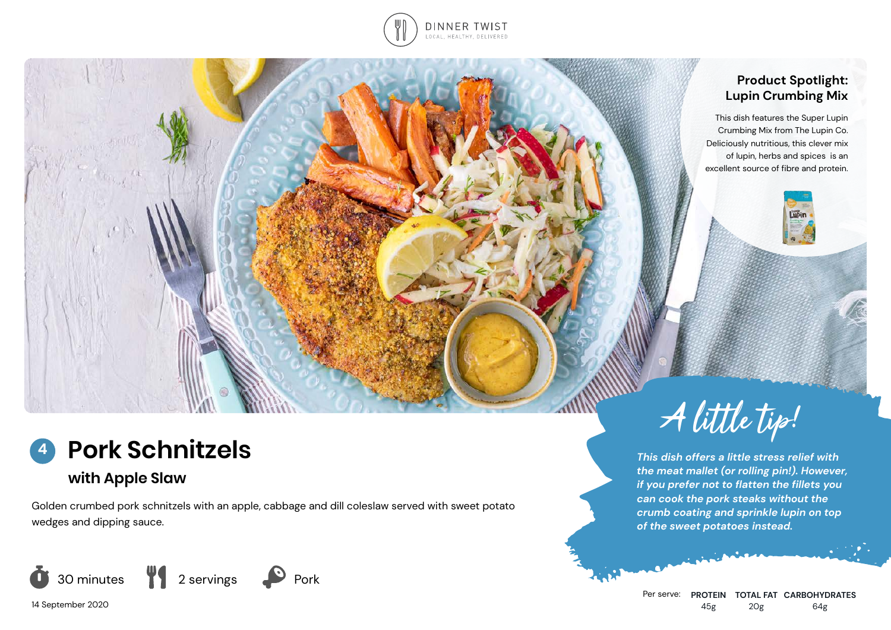

### **Product Spotlight: Lupin Crumbing Mix**

This dish features the Super Lupin Crumbing Mix from The Lupin Co. Deliciously nutritious, this clever mix of lupin, herbs and spices is an excellent source of fibre and protein.



## **Pork Schnitzels 4**

# **with Apple Slaw**

Golden crumbed pork schnitzels with an apple, cabbage and dill coleslaw served with sweet potato wedges and dipping sauce.



14 September 2020



*This dish offers a little stress relief with the meat mallet (or rolling pin!). However, if you prefer not to flatten the fillets you can cook the pork steaks without the crumb coating and sprinkle lupin on top of the sweet potatoes instead.*